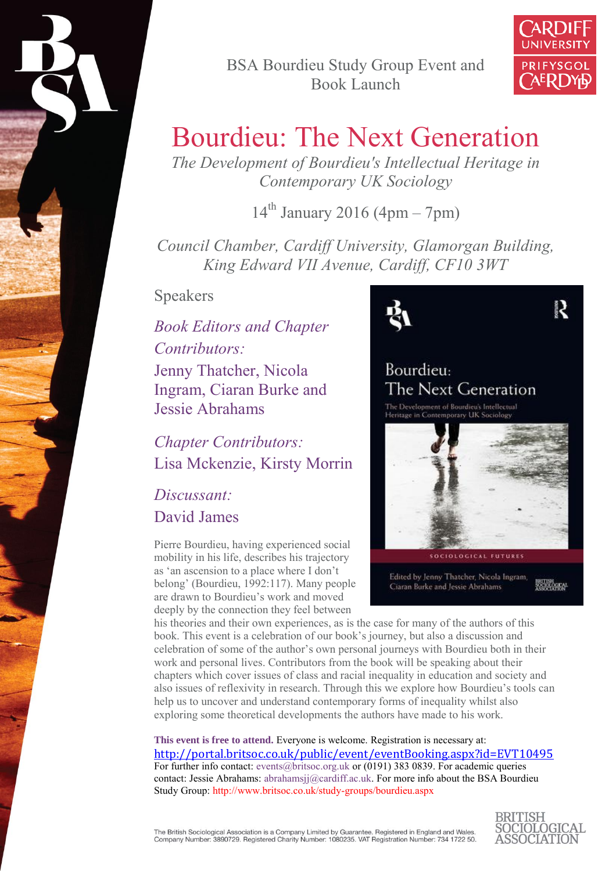



## Bourdieu: The Next Generation

*The Development of Bourdieu's Intellectual Heritage in Contemporary UK Sociology*

 $14^{th}$  January 2016 (4pm – 7pm)

*Council Chamber, Cardiff University, Glamorgan Building, King Edward VII Avenue, Cardiff, CF10 3WT*

Speakers

*Book Editors and Chapter Contributors:* Jenny Thatcher, Nicola Ingram, Ciaran Burke and Jessie Abrahams

*Chapter Contributors:* Lisa Mckenzie, Kirsty Morrin

*Discussant:* David James

Pierre Bourdieu, having experienced social mobility in his life, describes his trajectory as 'an ascension to a place where I don't belong' (Bourdieu, 1992:117). Many people are drawn to Bourdieu's work and moved deeply by the connection they feel between

R Bourdieu: The Next Generation The Development of Bourdieu's Intellectual orary UK S

**IOLOGICAL FUTURE** 

Edited by Jenny Thatcher, Nicola Ingram Ciaran Burke and Jessie Abrahams

his theories and their own experiences, as is the case for many of the authors of this book. This event is a celebration of our book's journey, but also a discussion and celebration of some of the author's own personal journeys with Bourdieu both in their work and personal lives. Contributors from the book will be speaking about their chapters which cover issues of class and racial inequality in education and society and also issues of reflexivity in research. Through this we explore how Bourdieu's tools can help us to uncover and understand contemporary forms of inequality whilst also exploring some theoretical developments the authors have made to his work.

**This event is free to attend.** Everyone is welcome. Registration is necessary at: [http://portal.britsoc.co.uk/public/event/eventBooking.aspx?id=EVT10495](http://portal.britsoc.co.uk/member/event/eventBooking.aspx?id=EVT10495) For further info contact: events@britsoc.org.uk or (0191) 383 0839. For academic queries contact: Jessie Abrahams: abrahamsjj@cardiff.ac.uk. For more info about the BSA Bourdieu



Study Group: http://www.britsoc.co.uk/study-groups/bourdieu.aspx